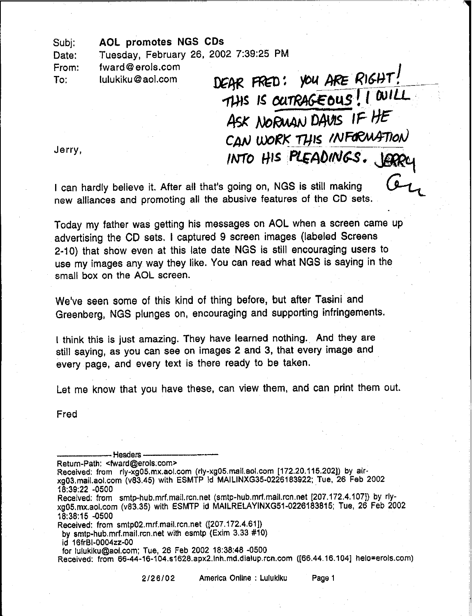## AOL promotes NGS CDs Subj:

Tuesday, February 26, 2002 7:39:25 PM Date:

. The contract of the contract of the contract of the contract of the contract of the contract of  $\mathcal{A}$ 

fward@erols.com From:

IUlukiku@aol.com To:

DEAR FRED: YOU ARE RIGHT! THIS IS OUTRAGEOUS! I WILL ASK NORWAN DAVIS IF HE  $CAN$  WORK THIS INFORMATION INTO HIS PLEADINGS. JERR

Jerry,

I can hardly believe it. After all that's going on, NGS is still making new alliances and promoting all the abusive features of the CD sets.

Today my father was getting his messages on AOL when a screen came up advertising the CD sets. I captured 9 screen images (labeled Screens 2-10) that show even at this late date NGS is still encouraging users to use my images any way they like. You can read what NGS is saying in the small box on the AOL screen.

We've seen some of this kind of thing before, but after Tasini and Greenberg, NGS plunges on, encouraging and supporting infringements.

I think this is just amazing. They have learned nothing. And they are still saying, as you can see on images 2 and 3, that every image and every page, and every text is there ready to be taken.

Let me know that you have these, can view them, and can print them out.

Fred

-----Headers------ Return-Path: <fward@erols.com> Received: from rly-xg05.mx.aol.com (rly-xg05.mail.aol.com [172.20.115.202]) by airxg03.mail.aol.com (v83.45) with ESMTP id MAILINXG35-0226183922; rue, 26 Feb 2002 18:39:22 -0500 Received: from smtp-hub.mrf.mail.rcn.net (smtp-hub.mrf.mail.rcn.net [207.172.4.107]) by rlyxgOS.mx.aol.com (v83.3S) with ESMTP id MAILRELAYINXG51-0226183815; Tue, 26 Feb 2002 18:38:15 -0500 Received: from smtp02.mrf.mail.rcn.net ([207.172.4.61]) by smlp-hub.mrf.mail.rcn.net with esmtp (Exim 3.33 #10) id 16frBI-0004zz-00

for lulukiku@aol.com; Tue, 26 Feb 2002 18:38:48 -0500

Received: from 66-44-16-104.s1628.apx2.lnh.md.dialup.rcn.com ([66.44.16.104] helo=erols.com)

*2/26/02* America Online : LUlukiku Page 1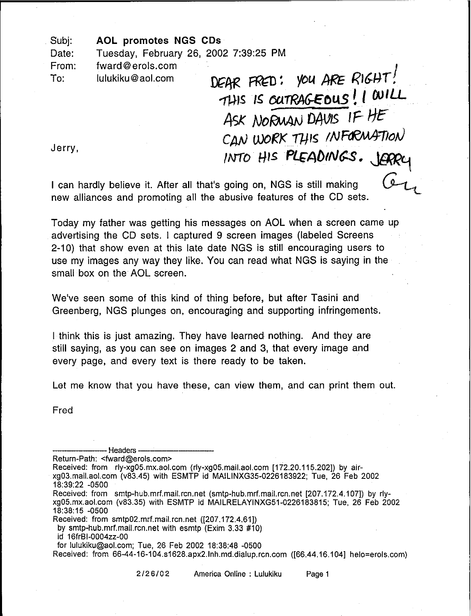AOL promotes NGS CDs Subj:

Tuesday, February 26, 2002 7:39:25 PM Date:

fward@erols.com From:

lulukiku@aol.com To:

DEAR FRED: YOU ARE RIGHT! THIS IS OUTRAGEOUS! I WILL ASK NORWAN DAVIS IF HE CAN WORK THIS INFORMATION *INTO HIS PLEADINGS. LOOP* 

Jerry,

I can hardly believe it. After all that's going on, NGS is still making new alliances and promoting all the abusive features of the CD sets.

Today my father was getting his messages on AOL when a screen came up advertising the CD sets. I captured 9 screen images (labeled Screens 2-10) that show even at this late date NGS is still encouraging users to use my images any way they like. You can read what NGS is saying in the small box on the AOL screen.

We've seen some of this kind of thing before, but after Tasini and Greenberg, NGS plunges on, encouraging and supporting infringements.

I think this is just amazing. They have learned nothing. And they are still saying, as you can see on images 2 and 3, that every image and every page, and every text is there ready to be taken.

Let me know that you have these, can view them, and can print them out.

Fred

-----Headers-------- Return-Path: <fward@erols.com> Received: from rly-xg05.mx.aol.com (rly-xg05.mail.aol.com [172.20.115.202]) by airxg03.mail.aol.com (v83.45) with ESMTP id MAILlNXG35-0226183922; Tue, 26 Feb 2002 18:39:22 -0500 Received: from smtp-hub.mrf.mail.rcn.net (smtp-hub.mrf.mail.rcn.net [207.172.4.107]) by rlyxg05.mx.aol.com (v83.35) with ESMTP id MAILRELAYINXG51-0226183815; Tue, 26 Feb 2002 18:38:15 -0500 Received: from smtp02.mrf.mail.rcn.net ([207.172.4.61]) by smtp-hub.mrf.mail.rcn.net with esmtp (Exim 3.33 #10) id 16frBI-0004zz-00 for lulukiku@aol.com; Tue, 26 Feb 2002 18:38:48 -0500 Received: from 66-44-16-104.s1628.apx2.lnh.md.dialup.rcn.com ([66.44.16.104] helo=erols.com)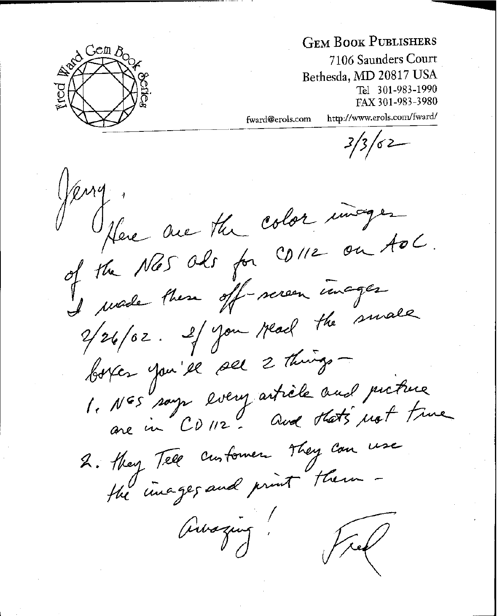

## **GEM BOOK PUBLISHERS**

7106 Saunders Court Bethesda, **MD** 20817 USA Tel 301-983-1990 FAX 301-983-3980

fward@erols.com http://www.erols.com/fward/

 $3/3/62$ 

Jeng Here are the color inager of the Nas ols for CD112 on tol of the these off-sereon images en processe de la partie de 126/02. Il vous malle boyer you'll sel 2 things -1. NES says lvery article and picture Nos says every ...<br>are in CD 112. Que stats not time 2. they Tell customer They can use the images and print them Auszur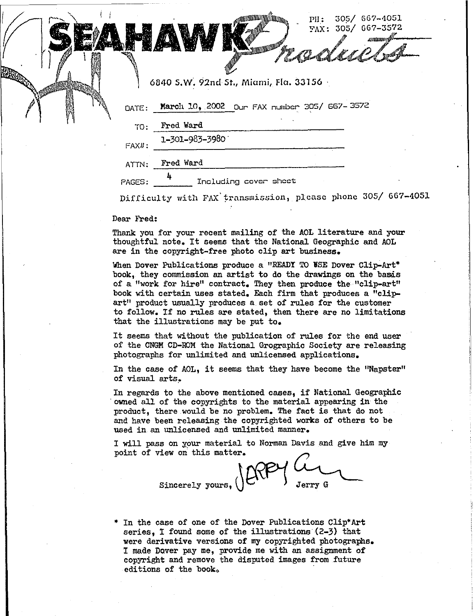|           | 305/ 667-4051<br>$\text{PI}:$<br>FAX: 305/ 667-3572                                                                                                                                                                                                                                              |
|-----------|--------------------------------------------------------------------------------------------------------------------------------------------------------------------------------------------------------------------------------------------------------------------------------------------------|
|           | <b>JANASHARAM</b><br>allogue a comparable de la comparable de la comparabilitat de la comparabilitat de la comparabilitat de la com<br>La comparabilitat de la comparabilitat de la comparabilitat de la comparabilitat de la comparabilitat de la co<br>مهم المستقلة المستقلة المستقلة المستقلة |
|           | 6840 S.W. 92nd St., Miami, Fla. 33156                                                                                                                                                                                                                                                            |
| DATE:     | March 10, 2002 Our FAX number 305/ 667-3572                                                                                                                                                                                                                                                      |
| TO:       | Fred Ward                                                                                                                                                                                                                                                                                        |
| $FAXII$ : | 1-301-983-3980                                                                                                                                                                                                                                                                                   |
| ATTN:     | Fred Ward                                                                                                                                                                                                                                                                                        |
| PAGES:    | Including cover sheet                                                                                                                                                                                                                                                                            |

Difficulty with FAX transmission, please phone 305/ 667-4051

Dear Fred:

~-~-------------

. 1

Thank you for your recent mailing of the AOL literature and your thoughtful note. It seems that the National Geographic and AOL are in the copyright-free photo clip art business.

When Dover Publications produce a "READY TO USE Dover Clip-Art\* book. they commission an artist to do the drawings on the basis of a "work for hire" contract. They then produce the "clip-art" book with certain uses stated. Each firm that produces a "clipart" product usually produces a set of rules for the customer to follow. If no rules are stated. then there are no limitations that the illustrations may be put to.

It seems that without the publication of rules for the end user of the CNGM CD-ROM the National Grographic Society are releasing photographs for unlimited and unlicensed applications.

In the case of AOL. it seems that they have become the ''Napster'' of visual arts.

In regards to the above mentioned cases, if National Geographic . owned all of the copyrights to the material appearing in the product. there would be no problem. The fact is that do not and have been releasing the copyrighted works of others to be used in an unlicensed and unlimited manner.

I will pass on your material to Norman Davis and give him my point of view on this matter.

Sincerely yours,  $\left\langle \right\rangle$   $\left\langle \right\rangle$   $\left\langle \right\rangle$   $\left\langle \right\rangle$   $\left\langle \right\rangle$   $\left\langle \right\rangle$ 

In the case of one of the Dover Publications Clip\*Art series, I found some of the illustrations (2-3) that were derivative versions of my copyrighted photographs. I made Dover pay me. provide me with an assignment of copyright and remove the disputed images from future editions of the book.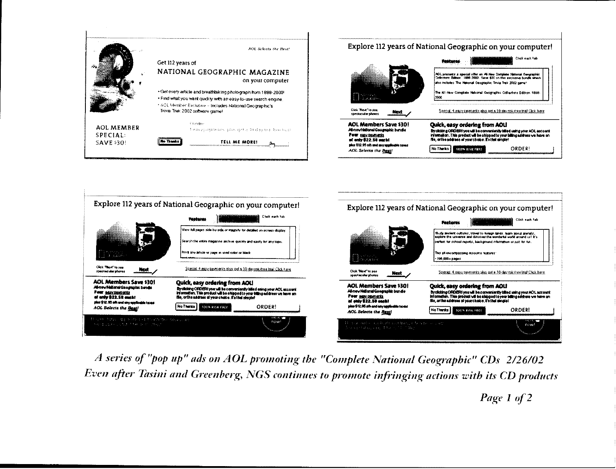

|                                                                                                                                                             | Explore 112 years of National Geographic on your computer!                                                                                                                                                                                           | Explore 112 years of National Geographic on your computer!                                                        |                                                                                                                                                                                                                                                                                                                             |  |  |
|-------------------------------------------------------------------------------------------------------------------------------------------------------------|------------------------------------------------------------------------------------------------------------------------------------------------------------------------------------------------------------------------------------------------------|-------------------------------------------------------------------------------------------------------------------|-----------------------------------------------------------------------------------------------------------------------------------------------------------------------------------------------------------------------------------------------------------------------------------------------------------------------------|--|--|
|                                                                                                                                                             | Click each tab<br><b><i><u>Teatures</u></i></b>                                                                                                                                                                                                      |                                                                                                                   | Click each tab<br><b>Features</b>                                                                                                                                                                                                                                                                                           |  |  |
|                                                                                                                                                             | View full pages side-by-side or magnify for detailed on-screen display.<br>Search the entire magazine archive quickly and easily for any topic.                                                                                                      |                                                                                                                   | Study ancient cultures, travel to foreign lands, learn about animals,<br>explore the universe and discover the wondered world around us! It's<br>certex for school reports, background information or just for fun.                                                                                                         |  |  |
|                                                                                                                                                             | Print any article or page in vivid color or black                                                                                                                                                                                                    | an an S                                                                                                           | This all-encompassing resource features:<br>$-196.000 + p_{2005}$                                                                                                                                                                                                                                                           |  |  |
| Clink Theod" to see<br><b>ABOUT</b><br>spectacular photos                                                                                                   | Special Aleasy payments gius della 30-daynat-free trial Click here                                                                                                                                                                                   | Click West' to see<br>Next<br>spectacular photos                                                                  | Speciel, 4 easy payments plus agt a 30-day mic-free trial Click here.<br>Quick, easy ordering from AOU<br>By cacting ORDERI you will be conveniently billed uning your AOL account<br>information. This product will be shipped to your billing eddress we have on<br>file, or the address of vour choice. I's that simple! |  |  |
| <b>AOL Members Save \$301</b><br>Africa National Geographic banda<br>Pear servicements<br>of anti-222.58 metal<br>plas \$12.95 sin and any applicable to as | Quick, easy ordering from AOL!<br>By clicking ORDERI you will be conveniently billed exing your AOL account<br>information. This product will be shipped to your billing address we have on<br>file, orthe address of your choice. It's that simple! | <b>AOL Members Save \$301</b><br>Al-new Nettenet Geographic bundle<br>Four easy promotes<br>of salv \$22.50 sec.l |                                                                                                                                                                                                                                                                                                                             |  |  |
| <b>AOL Selects the Beat!</b>                                                                                                                                | No Thenka<br><b>ORDER!</b><br><b>100% RISK FREE</b>                                                                                                                                                                                                  | that \$12,95 site and any september to as<br><b>AOL Selects the Beat!</b>                                         | ORDERI<br>No Thanks &<br>100% RISK FREE                                                                                                                                                                                                                                                                                     |  |  |
| This pain faces in granded on the context decession:<br>The couple condition in Congo                                                                       | naw                                                                                                                                                                                                                                                  | The test involvement and that there is now in contra-<br>The second plan appeal that is the film of               | <b>DOW!</b>                                                                                                                                                                                                                                                                                                                 |  |  |
|                                                                                                                                                             |                                                                                                                                                                                                                                                      |                                                                                                                   |                                                                                                                                                                                                                                                                                                                             |  |  |

A series of "pop up" ads on AOL promoting the "Complete National Geographic" CDs 2/26/02 Even after Tasini and Greenberg, NGS continues to promote infringing actions with its CD products

Page 1 of 2